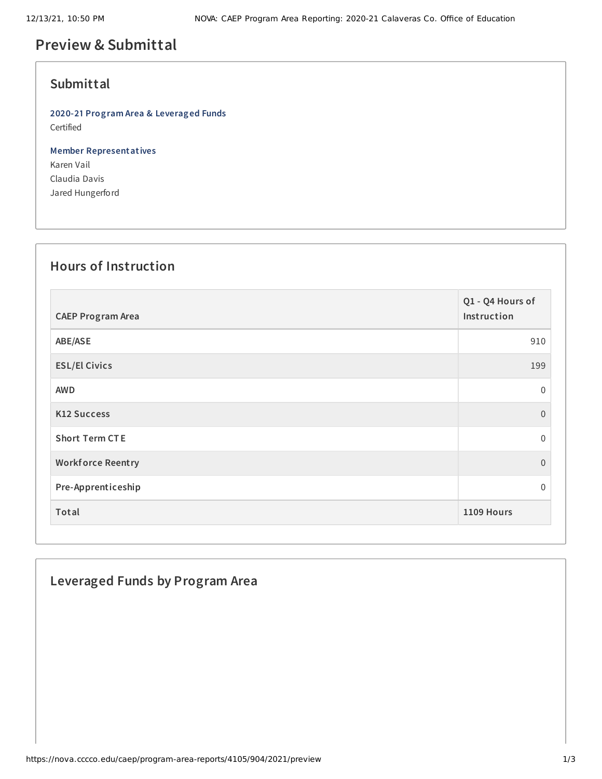# **Preview & Submittal**

### **Submittal**

**2020-21 Program Area & Leveraged Funds** Certified

**Member Representatives** Karen Vail Claudia Davis Jared Hungerford

#### **Hours of Instruction**

| <b>CAEP Program Area</b> | Q1 - Q4 Hours of<br>Instruction |
|--------------------------|---------------------------------|
| ABE/ASE                  | 910                             |
| <b>ESL/El Civics</b>     | 199                             |
| <b>AWD</b>               | $\mathbf 0$                     |
| K12 Success              | $\Omega$                        |
| <b>Short Term CTE</b>    | $\mathbf 0$                     |
| <b>Workforce Reentry</b> | $\overline{0}$                  |
| Pre-Apprenticeship       | $\Omega$                        |
| Total                    | 1109 Hours                      |

## **Leveraged Funds by Program Area**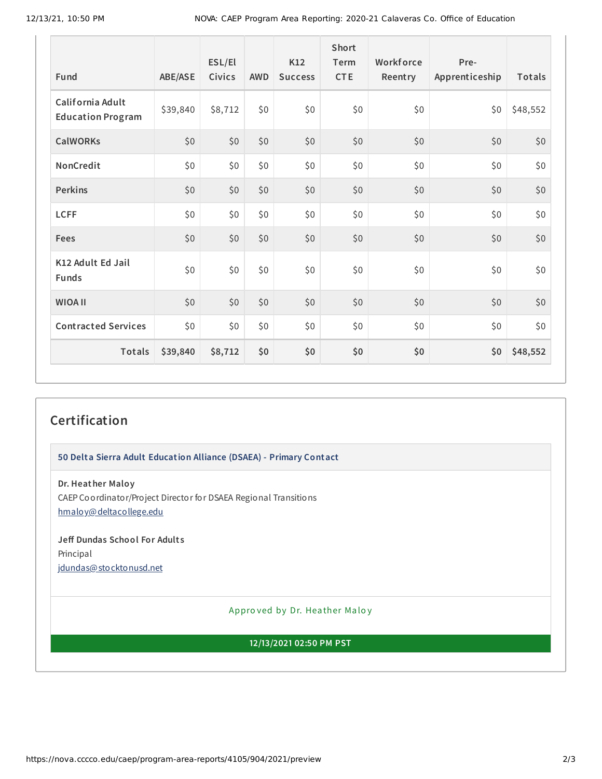| Fund                                         | ABE/ASE  | ESL/El<br>Civics | <b>AWD</b> | K12<br><b>Success</b> | <b>Short</b><br>Term<br><b>CTE</b> | Workforce<br>Reentry | Pre-<br>Apprenticeship | Totals   |
|----------------------------------------------|----------|------------------|------------|-----------------------|------------------------------------|----------------------|------------------------|----------|
| California Adult<br><b>Education Program</b> | \$39,840 | \$8,712          | \$0        | \$0                   | \$0                                | \$0                  | \$0                    | \$48,552 |
| <b>CalWORKs</b>                              | \$0      | \$0              | \$0        | \$0                   | \$0                                | \$0                  | \$0                    | \$0      |
| NonCredit                                    | \$0      | \$0              | \$0        | \$0                   | \$0                                | \$0                  | \$0                    | \$0      |
| <b>Perkins</b>                               | \$0      | \$0              | \$0        | \$0                   | \$0                                | \$0                  | \$0                    | $$0$$    |
| <b>LCFF</b>                                  | \$0      | \$0              | \$0        | \$0                   | \$0                                | \$0                  | \$0                    | \$0      |
| <b>Fees</b>                                  | \$0      | \$0              | \$0        | \$0                   | \$0                                | \$0                  | \$0                    | \$0      |
| K12 Adult Ed Jail<br><b>Funds</b>            | \$0      | \$0              | \$0        | \$0                   | \$0                                | \$0                  | \$0                    | \$0      |
| <b>WIOA II</b>                               | \$0      | \$0              | \$0        | \$0                   | \$0                                | \$0                  | \$0                    | \$0      |
| <b>Contracted Services</b>                   | \$0      | \$0              | \$0        | \$0                   | \$0                                | \$0                  | \$0                    | \$0      |
| Totals                                       | \$39,840 | \$8,712          | \$0        | \$0                   | \$0                                | \$0                  | \$0                    | \$48,552 |

## **Certification**

**50 Delta Sierra Adult Education Alliance (DSAEA) - Primary Contact**

**Dr. Heather Maloy** CAEP Coordinator/Project Director for DSAEA Regional Transitions [hmaloy@deltacollege.edu](mailto:hmaloy@deltacollege.edu)

**Jeff Dundas School For Adult s** Principal [jdundas@stocktonusd.net](mailto:jdundas@stocktonusd.net)

Appro ved by Dr. Heather Maloy

**12/13/2021 02:50 PM PST**